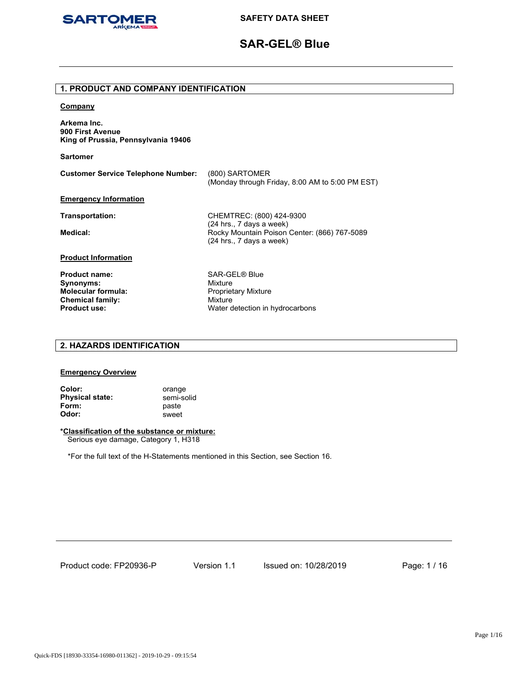

# **SAR-GEL® Blue**

# **1. PRODUCT AND COMPANY IDENTIFICATION**

# **Company**

**Arkema Inc. 900 First Avenue King of Prussia, Pennsylvania 19406** 

**Sartomer**

| <b>Customer Service Telephone Number:</b> | (800) SARTOMER<br>(Monday through Friday, 8:00 AM to 5:00 PM EST)                                    |
|-------------------------------------------|------------------------------------------------------------------------------------------------------|
| <b>Emergency Information</b>              |                                                                                                      |
| Transportation:                           | CHEMTREC: (800) 424-9300                                                                             |
| Medical:                                  | (24 hrs., 7 days a week)<br>Rocky Mountain Poison Center: (866) 767-5089<br>(24 hrs., 7 days a week) |
| <b>Product Information</b>                |                                                                                                      |
| <b>Product name:</b>                      | SAR-GEL® Blue                                                                                        |
| Synonyms:                                 | Mixture                                                                                              |
| <b>Molecular formula:</b>                 | <b>Proprietary Mixture</b>                                                                           |
| <b>Chemical family:</b>                   | Mixture                                                                                              |
| <b>Product use:</b>                       | Water detection in hydrocarbons                                                                      |

# **2. HAZARDS IDENTIFICATION**

### **Emergency Overview**

**Color:** orange **Physical state: semi-solid Form:** paste **Odor:** sweet

# **\*Classification of the substance or mixture:**

Serious eye damage, Category 1, H318

\*For the full text of the H-Statements mentioned in this Section, see Section 16.

Product code: FP20936-P

Version 1.1 Issued on: 10/28/2019 Page: 1 / 16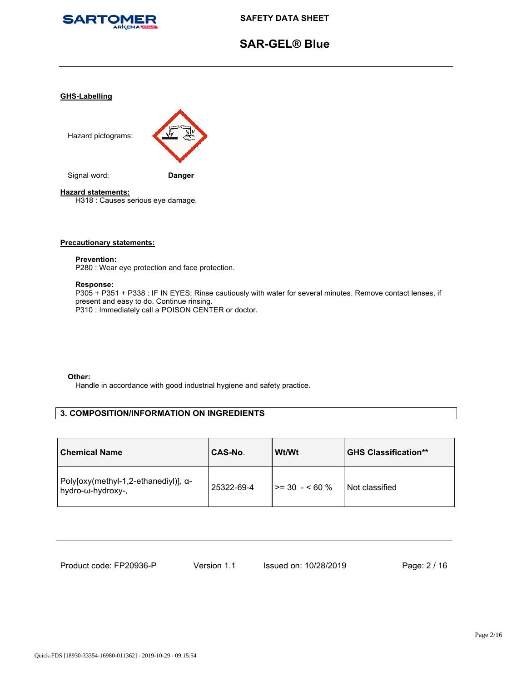

# **SAR-GEL® Blue**

# **GHS-Labelling**



# **Hazard statements:**

H318 : Causes serious eye damage.

#### **Precautionary statements:**

#### **Prevention:**

P280 : Wear eye protection and face protection.

# **Response:**

P305 + P351 + P338 : IF IN EYES: Rinse cautiously with water for several minutes. Remove contact lenses, if present and easy to do. Continue rinsing. P310 : Immediately call a POISON CENTER or doctor.

#### **Other:**

Handle in accordance with good industrial hygiene and safety practice.

# **3. COMPOSITION/INFORMATION ON INGREDIENTS**

| <b>Chemical Name</b>                                      | CAS-No.    | Wt/Wt           | <b>GHS Classification**</b> |
|-----------------------------------------------------------|------------|-----------------|-----------------------------|
| Poly[oxy(methyl-1,2-ethanediyl)], α-<br>hydro-ω-hydroxy-, | 25322-69-4 | $>= 30 - 60 \%$ | Not classified              |

| Product code: FP20936-P |  |
|-------------------------|--|
|-------------------------|--|

Version 1.1 Issued on: 10/28/2019 Page: 2 / 16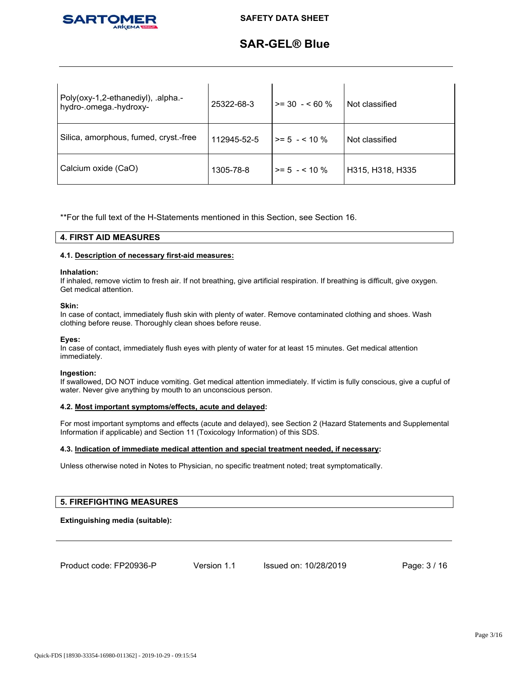

# **SAR-GEL® Blue**

| Poly(oxy-1,2-ethanediyl), .alpha.-<br>hydro-.omega.-hydroxy- | 25322-68-3  | $>= 30 - 60 \%$      | Not classified   |
|--------------------------------------------------------------|-------------|----------------------|------------------|
| Silica, amorphous, fumed, cryst.-free                        | 112945-52-5 | $\ge$ = 5 $-$ < 10 % | Not classified   |
| Calcium oxide (CaO)                                          | 1305-78-8   | $\ge$ = 5 $-$ < 10 % | H315, H318, H335 |

\*\*For the full text of the H-Statements mentioned in this Section, see Section 16.

# **4. FIRST AID MEASURES**

# **4.1. Description of necessary first-aid measures:**

#### **Inhalation:**

If inhaled, remove victim to fresh air. If not breathing, give artificial respiration. If breathing is difficult, give oxygen. Get medical attention.

#### **Skin:**

In case of contact, immediately flush skin with plenty of water. Remove contaminated clothing and shoes. Wash clothing before reuse. Thoroughly clean shoes before reuse.

#### **Eyes:**

In case of contact, immediately flush eyes with plenty of water for at least 15 minutes. Get medical attention immediately.

#### **Ingestion:**

If swallowed, DO NOT induce vomiting. Get medical attention immediately. If victim is fully conscious, give a cupful of water. Never give anything by mouth to an unconscious person.

# **4.2. Most important symptoms/effects, acute and delayed:**

For most important symptoms and effects (acute and delayed), see Section 2 (Hazard Statements and Supplemental Information if applicable) and Section 11 (Toxicology Information) of this SDS.

# **4.3. Indication of immediate medical attention and special treatment needed, if necessary:**

Unless otherwise noted in Notes to Physician, no specific treatment noted; treat symptomatically.

# **5. FIREFIGHTING MEASURES**

# **Extinguishing media (suitable):**

Product code: FP20936-P

Version 1.1 Issued on: 10/28/2019 Page: 3 / 16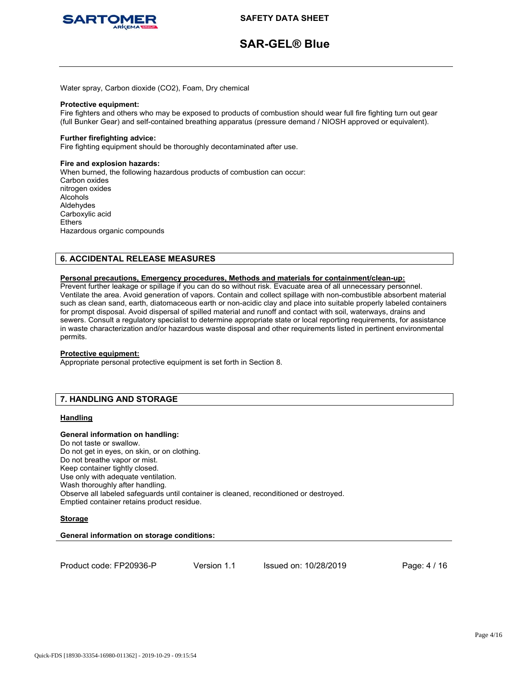

# **SAR-GEL® Blue**

Water spray, Carbon dioxide (CO2), Foam, Dry chemical

#### **Protective equipment:**

Fire fighters and others who may be exposed to products of combustion should wear full fire fighting turn out gear (full Bunker Gear) and self-contained breathing apparatus (pressure demand / NIOSH approved or equivalent).

# **Further firefighting advice:**

Fire fighting equipment should be thoroughly decontaminated after use.

#### **Fire and explosion hazards:**

When burned, the following hazardous products of combustion can occur: Carbon oxides nitrogen oxides Alcohols Aldehydes Carboxylic acid Ethers Hazardous organic compounds

# **6. ACCIDENTAL RELEASE MEASURES**

### **Personal precautions, Emergency procedures, Methods and materials for containment/clean-up:**

Prevent further leakage or spillage if you can do so without risk. Evacuate area of all unnecessary personnel. Ventilate the area. Avoid generation of vapors. Contain and collect spillage with non-combustible absorbent material such as clean sand, earth, diatomaceous earth or non-acidic clay and place into suitable properly labeled containers for prompt disposal. Avoid dispersal of spilled material and runoff and contact with soil, waterways, drains and sewers. Consult a regulatory specialist to determine appropriate state or local reporting requirements, for assistance in waste characterization and/or hazardous waste disposal and other requirements listed in pertinent environmental permits.

# **Protective equipment:**

Appropriate personal protective equipment is set forth in Section 8.

# **7. HANDLING AND STORAGE**

# **Handling**

# **General information on handling:**

Do not taste or swallow. Do not get in eyes, on skin, or on clothing. Do not breathe vapor or mist. Keep container tightly closed. Use only with adequate ventilation. Wash thoroughly after handling. Observe all labeled safeguards until container is cleaned, reconditioned or destroyed. Emptied container retains product residue.

# **Storage**

# **General information on storage conditions:**

```
Product code: FP20936-P
```
Version 1.1 Issued on: 10/28/2019 Page: 4 / 16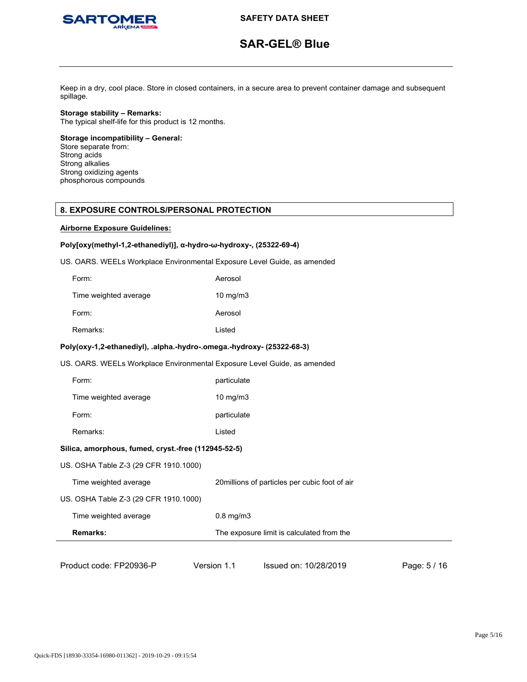

# **SAR-GEL® Blue**

Keep in a dry, cool place. Store in closed containers, in a secure area to prevent container damage and subsequent spillage.

**Storage stability – Remarks:** The typical shelf-life for this product is 12 months.

**Storage incompatibility – General:** Store separate from: Strong acids Strong alkalies Strong oxidizing agents phosphorous compounds

# **8. EXPOSURE CONTROLS/PERSONAL PROTECTION**

# **Airborne Exposure Guidelines:**

# **Poly[oxy(methyl-1,2-ethanediyl)], α-hydro-ω-hydroxy-, (25322-69-4)**

US. OARS. WEELs Workplace Environmental Exposure Level Guide, as amended

| Form:                 | Aerosol           |
|-----------------------|-------------------|
| Time weighted average | $10 \text{ mg/m}$ |
| Form:                 | Aerosol           |
| Remarks:              | Listed            |

# **Poly(oxy-1,2-ethanediyl), .alpha.-hydro-.omega.-hydroxy- (25322-68-3)**

US. OARS. WEELs Workplace Environmental Exposure Level Guide, as amended

| Form:                                               | particulate    |                                                |              |
|-----------------------------------------------------|----------------|------------------------------------------------|--------------|
| Time weighted average                               | $10$ mg/m $3$  |                                                |              |
| Form:                                               | particulate    |                                                |              |
| Remarks:                                            | Listed         |                                                |              |
| Silica, amorphous, fumed, cryst.-free (112945-52-5) |                |                                                |              |
| US. OSHA Table Z-3 (29 CFR 1910.1000)               |                |                                                |              |
| Time weighted average                               |                | 20 millions of particles per cubic foot of air |              |
| US. OSHA Table Z-3 (29 CFR 1910.1000)               |                |                                                |              |
| Time weighted average                               | $0.8$ mg/m $3$ |                                                |              |
| <b>Remarks:</b>                                     |                | The exposure limit is calculated from the      |              |
|                                                     |                |                                                |              |
| Product code: FP20936-P                             | Version 1.1    | Issued on: 10/28/2019                          | Page: 5 / 16 |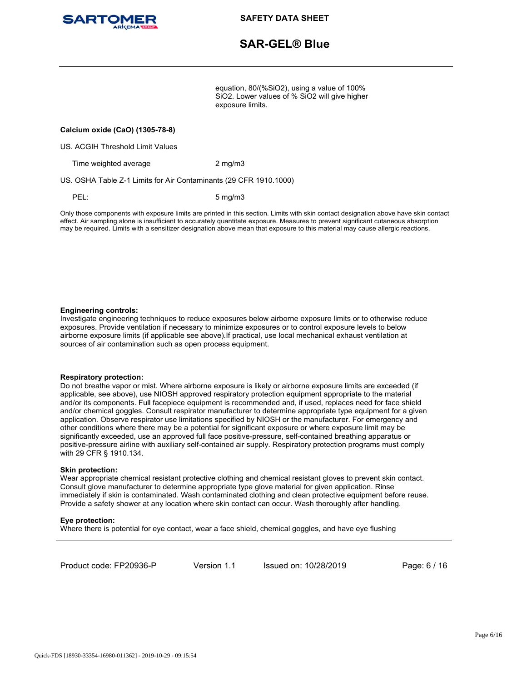

# **SAR-GEL® Blue**

equation, 80/(%SiO2), using a value of 100% SiO2. Lower values of % SiO2 will give higher exposure limits.

### **Calcium oxide (CaO) (1305-78-8)**

US. ACGIH Threshold Limit Values

Time weighted average 2 mg/m3

US. OSHA Table Z-1 Limits for Air Contaminants (29 CFR 1910.1000)

PEL: 5 mg/m3

Only those components with exposure limits are printed in this section. Limits with skin contact designation above have skin contact effect. Air sampling alone is insufficient to accurately quantitate exposure. Measures to prevent significant cutaneous absorption may be required. Limits with a sensitizer designation above mean that exposure to this material may cause allergic reactions.

#### **Engineering controls:**

Investigate engineering techniques to reduce exposures below airborne exposure limits or to otherwise reduce exposures. Provide ventilation if necessary to minimize exposures or to control exposure levels to below airborne exposure limits (if applicable see above).If practical, use local mechanical exhaust ventilation at sources of air contamination such as open process equipment.

#### **Respiratory protection:**

Do not breathe vapor or mist. Where airborne exposure is likely or airborne exposure limits are exceeded (if applicable, see above), use NIOSH approved respiratory protection equipment appropriate to the material and/or its components. Full facepiece equipment is recommended and, if used, replaces need for face shield and/or chemical goggles. Consult respirator manufacturer to determine appropriate type equipment for a given application. Observe respirator use limitations specified by NIOSH or the manufacturer. For emergency and other conditions where there may be a potential for significant exposure or where exposure limit may be significantly exceeded, use an approved full face positive-pressure, self-contained breathing apparatus or positive-pressure airline with auxiliary self-contained air supply. Respiratory protection programs must comply with 29 CFR § 1910.134.

#### **Skin protection:**

Wear appropriate chemical resistant protective clothing and chemical resistant gloves to prevent skin contact. Consult glove manufacturer to determine appropriate type glove material for given application. Rinse immediately if skin is contaminated. Wash contaminated clothing and clean protective equipment before reuse. Provide a safety shower at any location where skin contact can occur. Wash thoroughly after handling.

#### **Eye protection:**

Where there is potential for eye contact, wear a face shield, chemical goggles, and have eye flushing

Product code: FP20936-P

Version 1.1 Issued on: 10/28/2019 Page: 6 / 16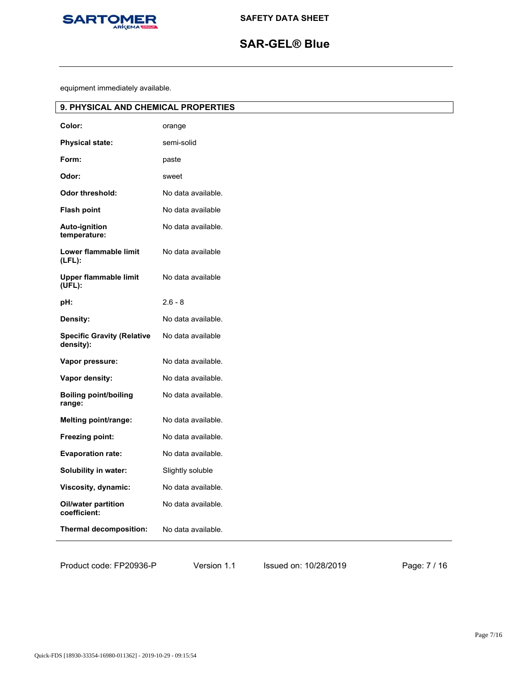

# **SAR-GEL® Blue**

equipment immediately available.

| 9. PHYSICAL AND CHEMICAL PROPERTIES            |                    |  |
|------------------------------------------------|--------------------|--|
| Color:                                         | orange             |  |
| <b>Physical state:</b>                         | semi-solid         |  |
| Form:                                          | paste              |  |
| Odor:                                          | sweet              |  |
| Odor threshold:                                | No data available. |  |
| <b>Flash point</b>                             | No data available  |  |
| Auto-ignition<br>temperature:                  | No data available. |  |
| Lower flammable limit<br>$(LFL)$ :             | No data available  |  |
| <b>Upper flammable limit</b><br>(UEL):         | No data available  |  |
| pH:                                            | $2.6 - 8$          |  |
| Density:                                       | No data available. |  |
| <b>Specific Gravity (Relative</b><br>density): | No data available  |  |
| Vapor pressure:                                | No data available. |  |
| Vapor density:                                 | No data available. |  |
| <b>Boiling point/boiling</b><br>range:         | No data available. |  |
| Melting point/range:                           | No data available. |  |
| Freezing point:                                | No data available. |  |
| <b>Evaporation rate:</b>                       | No data available. |  |
| Solubility in water:                           | Slightly soluble   |  |
| Viscosity, dynamic:                            | No data available. |  |
| Oil/water partition<br>coefficient:            | No data available. |  |
| Thermal decomposition:                         | No data available. |  |
|                                                |                    |  |

Version 1.1 Issued on: 10/28/2019 Page: 7 / 16

Product code: FP20936-P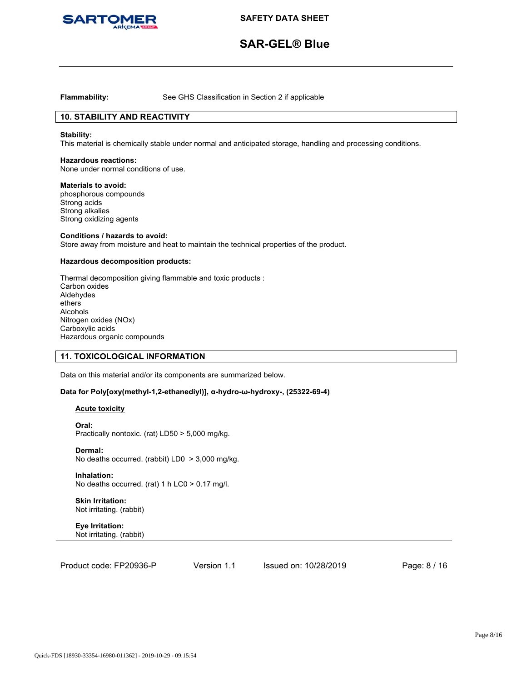

# **SAR-GEL® Blue**

**Flammability:** See GHS Classification in Section 2 if applicable

# **10. STABILITY AND REACTIVITY**

#### **Stability:**

This material is chemically stable under normal and anticipated storage, handling and processing conditions.

#### **Hazardous reactions:**

None under normal conditions of use.

#### **Materials to avoid:**

phosphorous compounds Strong acids Strong alkalies Strong oxidizing agents

#### **Conditions / hazards to avoid:**

Store away from moisture and heat to maintain the technical properties of the product.

# **Hazardous decomposition products:**

Thermal decomposition giving flammable and toxic products : Carbon oxides Aldehydes ethers Alcohols Nitrogen oxides (NOx) Carboxylic acids Hazardous organic compounds

# **11. TOXICOLOGICAL INFORMATION**

Data on this material and/or its components are summarized below.

# **Data for Poly[oxy(methyl-1,2-ethanediyl)], α-hydro-ω-hydroxy-, (25322-69-4)**

# **Acute toxicity**

**Oral:** Practically nontoxic. (rat) LD50 > 5,000 mg/kg.

**Dermal:** No deaths occurred. (rabbit) LD0 > 3,000 mg/kg.

**Inhalation:** No deaths occurred. (rat) 1 h LC0 > 0.17 mg/l.

### **Skin Irritation:** Not irritating. (rabbit)

**Eye Irritation:** Not irritating. (rabbit)

Version 1.1 Issued on: 10/28/2019 Page: 8 / 16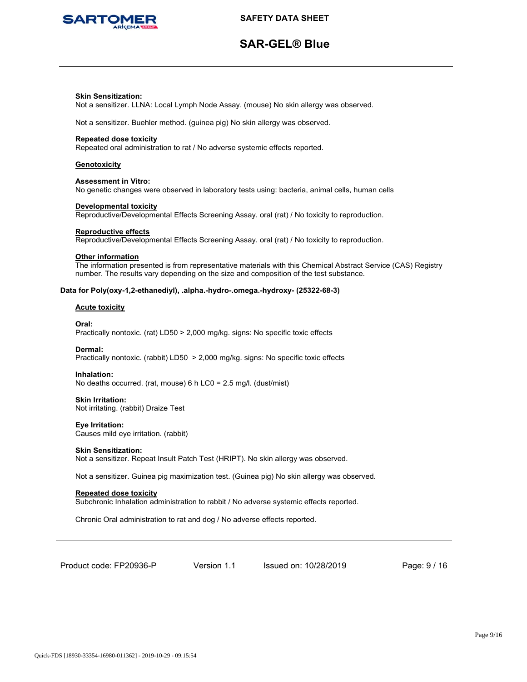

# **SAR-GEL® Blue**

### **Skin Sensitization:**

Not a sensitizer. LLNA: Local Lymph Node Assay. (mouse) No skin allergy was observed.

Not a sensitizer. Buehler method. (guinea pig) No skin allergy was observed.

### **Repeated dose toxicity**

Repeated oral administration to rat / No adverse systemic effects reported.

### **Genotoxicity**

#### **Assessment in Vitro:**

No genetic changes were observed in laboratory tests using: bacteria, animal cells, human cells

#### **Developmental toxicity**

Reproductive/Developmental Effects Screening Assay. oral (rat) / No toxicity to reproduction.

#### **Reproductive effects**

Reproductive/Developmental Effects Screening Assay. oral (rat) / No toxicity to reproduction.

#### **Other information**

The information presented is from representative materials with this Chemical Abstract Service (CAS) Registry number. The results vary depending on the size and composition of the test substance.

#### **Data for Poly(oxy-1,2-ethanediyl), .alpha.-hydro-.omega.-hydroxy- (25322-68-3)**

# **Acute toxicity**

**Oral:** Practically nontoxic. (rat) LD50 > 2,000 mg/kg. signs: No specific toxic effects

#### **Dermal:**

Practically nontoxic. (rabbit) LD50 > 2,000 mg/kg. signs: No specific toxic effects

# **Inhalation:**

No deaths occurred. (rat, mouse) 6 h LC0 = 2.5 mg/l. (dust/mist)

#### **Skin Irritation:**

Not irritating. (rabbit) Draize Test

### **Eye Irritation:** Causes mild eye irritation. (rabbit)

# **Skin Sensitization:**

Not a sensitizer. Repeat Insult Patch Test (HRIPT). No skin allergy was observed.

Not a sensitizer. Guinea pig maximization test. (Guinea pig) No skin allergy was observed.

# **Repeated dose toxicity**

Subchronic Inhalation administration to rabbit / No adverse systemic effects reported.

Chronic Oral administration to rat and dog / No adverse effects reported.

Product code: FP20936-P

Version 1.1 Issued on: 10/28/2019 Page: 9 / 16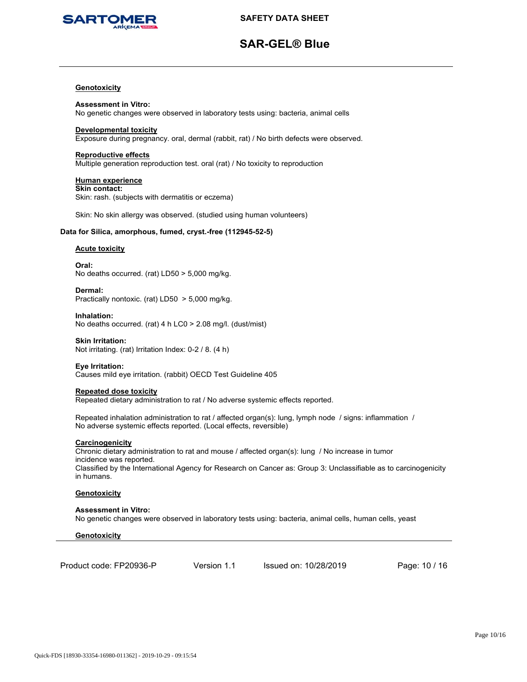

# **SAR-GEL® Blue**

## **Genotoxicity**

**Assessment in Vitro:** No genetic changes were observed in laboratory tests using: bacteria, animal cells

### **Developmental toxicity**

Exposure during pregnancy. oral, dermal (rabbit, rat) / No birth defects were observed.

# **Reproductive effects**

Multiple generation reproduction test. oral (rat) / No toxicity to reproduction

#### **Human experience**

**Skin contact:** Skin: rash. (subjects with dermatitis or eczema)

Skin: No skin allergy was observed. (studied using human volunteers)

# **Data for Silica, amorphous, fumed, cryst.-free (112945-52-5)**

# **Acute toxicity**

**Oral:** No deaths occurred. (rat) LD50 > 5,000 mg/kg.

**Dermal:** Practically nontoxic. (rat) LD50 > 5,000 mg/kg.

**Inhalation:** No deaths occurred. (rat) 4 h LC0 > 2.08 mg/l. (dust/mist)

#### **Skin Irritation:**

Not irritating. (rat) Irritation Index: 0-2 / 8. (4 h)

# **Eye Irritation:**

Causes mild eye irritation. (rabbit) OECD Test Guideline 405

#### **Repeated dose toxicity**

Repeated dietary administration to rat / No adverse systemic effects reported.

Repeated inhalation administration to rat / affected organ(s): lung, lymph node / signs: inflammation / No adverse systemic effects reported. (Local effects, reversible)

#### **Carcinogenicity**

Chronic dietary administration to rat and mouse / affected organ(s): lung / No increase in tumor incidence was reported. Classified by the International Agency for Research on Cancer as: Group 3: Unclassifiable as to carcinogenicity in humans.

# **Genotoxicity**

**Assessment in Vitro:** No genetic changes were observed in laboratory tests using: bacteria, animal cells, human cells, yeast

# **Genotoxicity**

| Product code: FP20936-P |
|-------------------------|
|-------------------------|

Version 1.1 Issued on: 10/28/2019 Page: 10 / 16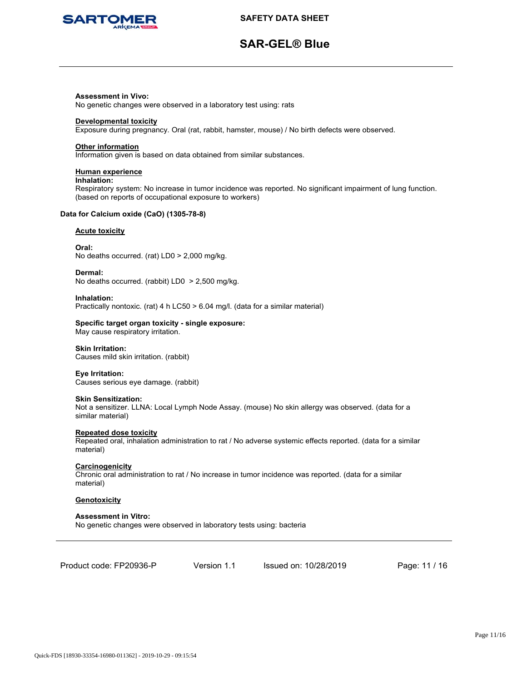

# **SAR-GEL® Blue**

### **Assessment in Vivo:**

No genetic changes were observed in a laboratory test using: rats

#### **Developmental toxicity**

Exposure during pregnancy. Oral (rat, rabbit, hamster, mouse) / No birth defects were observed.

#### **Other information**

Information given is based on data obtained from similar substances.

## **Human experience**

#### **Inhalation:**

Respiratory system: No increase in tumor incidence was reported. No significant impairment of lung function. (based on reports of occupational exposure to workers)

# **Data for Calcium oxide (CaO) (1305-78-8)**

### **Acute toxicity**

**Oral:** No deaths occurred. (rat) LD0 > 2,000 mg/kg.

**Dermal:**

No deaths occurred. (rabbit) LD0 > 2,500 mg/kg.

**Inhalation:**

Practically nontoxic. (rat) 4 h LC50 > 6.04 mg/l. (data for a similar material)

#### **Specific target organ toxicity - single exposure:**

May cause respiratory irritation.

#### **Skin Irritation:** Causes mild skin irritation. (rabbit)

**Eye Irritation:**

Causes serious eye damage. (rabbit)

# **Skin Sensitization:**

Not a sensitizer. LLNA: Local Lymph Node Assay. (mouse) No skin allergy was observed. (data for a similar material)

#### **Repeated dose toxicity**

Repeated oral, inhalation administration to rat / No adverse systemic effects reported. (data for a similar material)

# **Carcinogenicity**

Chronic oral administration to rat / No increase in tumor incidence was reported. (data for a similar material)

# **Genotoxicity**

### **Assessment in Vitro:** No genetic changes were observed in laboratory tests using: bacteria

Product code: FP20936-P

Version 1.1 Issued on: 10/28/2019 Page: 11 / 16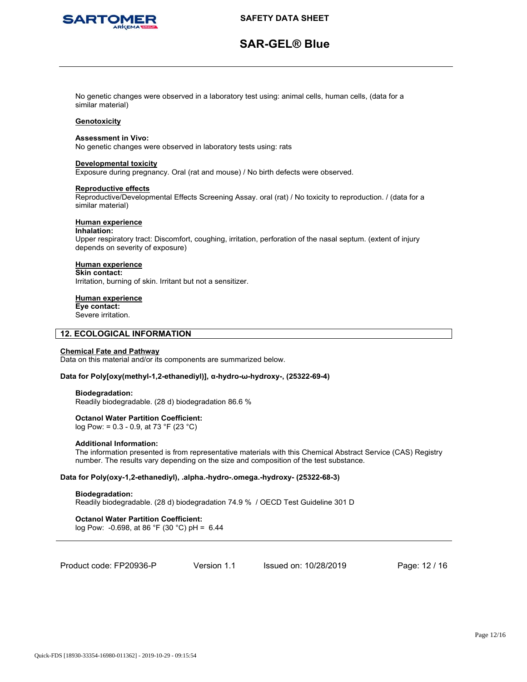

# **SAR-GEL® Blue**

No genetic changes were observed in a laboratory test using: animal cells, human cells, (data for a similar material)

### **Genotoxicity**

#### **Assessment in Vivo:**

No genetic changes were observed in laboratory tests using: rats

#### **Developmental toxicity**

Exposure during pregnancy. Oral (rat and mouse) / No birth defects were observed.

#### **Reproductive effects**

Reproductive/Developmental Effects Screening Assay. oral (rat) / No toxicity to reproduction. / (data for a similar material)

# **Human experience**

#### **Inhalation:**

Upper respiratory tract: Discomfort, coughing, irritation, perforation of the nasal septum. (extent of injury depends on severity of exposure)

# **Human experience**

**Skin contact:** Irritation, burning of skin. Irritant but not a sensitizer.

# **Human experience**

**Eye contact:** Severe irritation.

# **12. ECOLOGICAL INFORMATION**

# **Chemical Fate and Pathway**

Data on this material and/or its components are summarized below.

#### **Data for Poly[oxy(methyl-1,2-ethanediyl)], α-hydro-ω-hydroxy-, (25322-69-4)**

#### **Biodegradation:**

Readily biodegradable. (28 d) biodegradation 86.6 %

# **Octanol Water Partition Coefficient:**

log Pow: = 0.3 - 0.9, at 73 °F (23 °C)

#### **Additional Information:**

The information presented is from representative materials with this Chemical Abstract Service (CAS) Registry number. The results vary depending on the size and composition of the test substance.

# **Data for Poly(oxy-1,2-ethanediyl), .alpha.-hydro-.omega.-hydroxy- (25322-68-3)**

# **Biodegradation:**

Readily biodegradable. (28 d) biodegradation 74.9 % / OECD Test Guideline 301 D

# **Octanol Water Partition Coefficient:**

log Pow: -0.698, at 86 °F (30 °C) pH = 6.44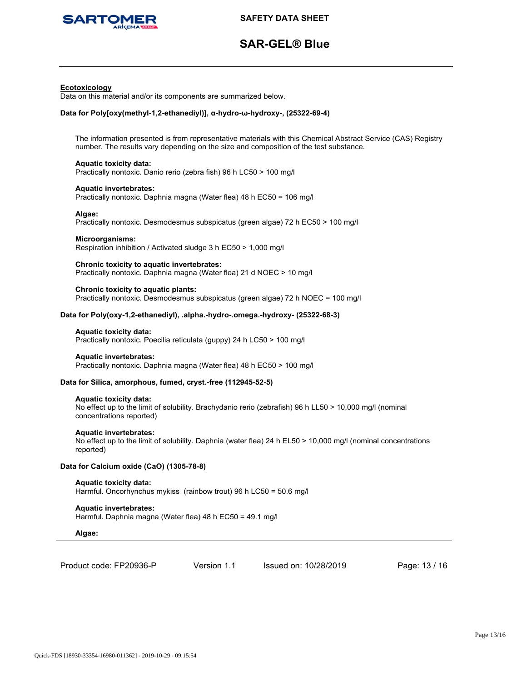

# **SAR-GEL® Blue**

#### **Ecotoxicology**

Data on this material and/or its components are summarized below.

# **Data for Poly[oxy(methyl-1,2-ethanediyl)], α-hydro-ω-hydroxy-, (25322-69-4)**

The information presented is from representative materials with this Chemical Abstract Service (CAS) Registry number. The results vary depending on the size and composition of the test substance.

#### **Aquatic toxicity data:** Practically nontoxic. Danio rerio (zebra fish) 96 h LC50 > 100 mg/l

**Aquatic invertebrates:**

Practically nontoxic. Daphnia magna (Water flea) 48 h EC50 = 106 mg/l

#### **Algae:**

Practically nontoxic. Desmodesmus subspicatus (green algae) 72 h EC50 > 100 mg/l

# **Microorganisms:**

Respiration inhibition / Activated sludge 3 h EC50 > 1,000 mg/l

## **Chronic toxicity to aquatic invertebrates:**

Practically nontoxic. Daphnia magna (Water flea) 21 d NOEC > 10 mg/l

#### **Chronic toxicity to aquatic plants:**

Practically nontoxic. Desmodesmus subspicatus (green algae) 72 h NOEC = 100 mg/l

# **Data for Poly(oxy-1,2-ethanediyl), .alpha.-hydro-.omega.-hydroxy- (25322-68-3)**

#### **Aquatic toxicity data:**

Practically nontoxic. Poecilia reticulata (guppy) 24 h LC50 > 100 mg/l

#### **Aquatic invertebrates:**

Practically nontoxic. Daphnia magna (Water flea) 48 h EC50 > 100 mg/l

# **Data for Silica, amorphous, fumed, cryst.-free (112945-52-5)**

#### **Aquatic toxicity data:**

No effect up to the limit of solubility. Brachydanio rerio (zebrafish) 96 h LL50 > 10,000 mg/l (nominal concentrations reported)

# **Aquatic invertebrates:**

No effect up to the limit of solubility. Daphnia (water flea) 24 h EL50 > 10,000 mg/l (nominal concentrations reported)

# **Data for Calcium oxide (CaO) (1305-78-8)**

#### **Aquatic toxicity data:** Harmful. Oncorhynchus mykiss (rainbow trout) 96 h LC50 = 50.6 mg/l

**Aquatic invertebrates:** Harmful. Daphnia magna (Water flea) 48 h EC50 = 49.1 mg/l

#### **Algae:**

| Product code: FP20936-P |
|-------------------------|
|-------------------------|

Version 1.1 Issued on: 10/28/2019 Page: 13 / 16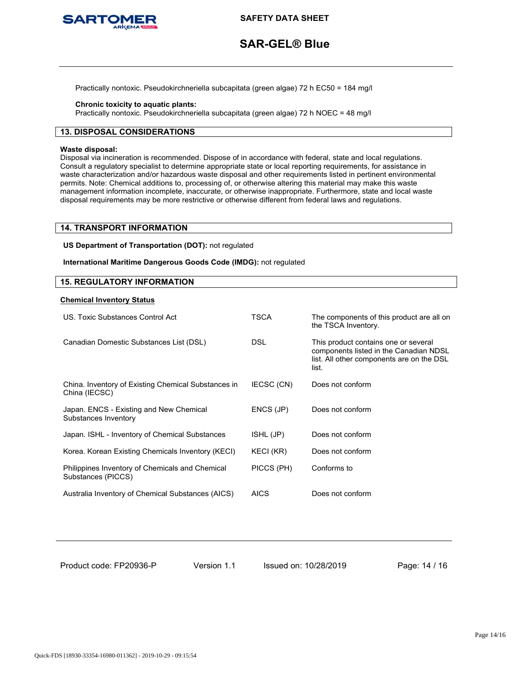

# **SAR-GEL® Blue**

Practically nontoxic. Pseudokirchneriella subcapitata (green algae) 72 h EC50 = 184 mg/l

# **Chronic toxicity to aquatic plants:**

Practically nontoxic. Pseudokirchneriella subcapitata (green algae) 72 h NOEC = 48 mg/l

# **13. DISPOSAL CONSIDERATIONS**

#### **Waste disposal:**

Disposal via incineration is recommended. Dispose of in accordance with federal, state and local regulations. Consult a regulatory specialist to determine appropriate state or local reporting requirements, for assistance in waste characterization and/or hazardous waste disposal and other requirements listed in pertinent environmental permits. Note: Chemical additions to, processing of, or otherwise altering this material may make this waste management information incomplete, inaccurate, or otherwise inappropriate. Furthermore, state and local waste disposal requirements may be more restrictive or otherwise different from federal laws and regulations.

# **14. TRANSPORT INFORMATION**

**US Department of Transportation (DOT):** not regulated

**International Maritime Dangerous Goods Code (IMDG):** not regulated

# **15. REGULATORY INFORMATION**

### **Chemical Inventory Status**

| US. Toxic Substances Control Act                                      | TSCA        | The components of this product are all on<br>the TSCA Inventory.                                                                     |
|-----------------------------------------------------------------------|-------------|--------------------------------------------------------------------------------------------------------------------------------------|
| Canadian Domestic Substances List (DSL)                               | <b>DSL</b>  | This product contains one or several<br>components listed in the Canadian NDSL<br>list. All other components are on the DSL<br>list. |
| China. Inventory of Existing Chemical Substances in<br>China (IECSC)  | IECSC (CN)  | Does not conform                                                                                                                     |
| Japan. ENCS - Existing and New Chemical<br>Substances Inventory       | ENCS (JP)   | Does not conform                                                                                                                     |
| Japan. ISHL - Inventory of Chemical Substances                        | ISHL (JP)   | Does not conform                                                                                                                     |
| Korea. Korean Existing Chemicals Inventory (KECI)                     | KECI (KR)   | Does not conform                                                                                                                     |
| Philippines Inventory of Chemicals and Chemical<br>Substances (PICCS) | PICCS (PH)  | Conforms to                                                                                                                          |
| Australia Inventory of Chemical Substances (AICS)                     | <b>AICS</b> | Does not conform                                                                                                                     |

Product code: FP20936-P

Version 1.1 Issued on: 10/28/2019 Page: 14 / 16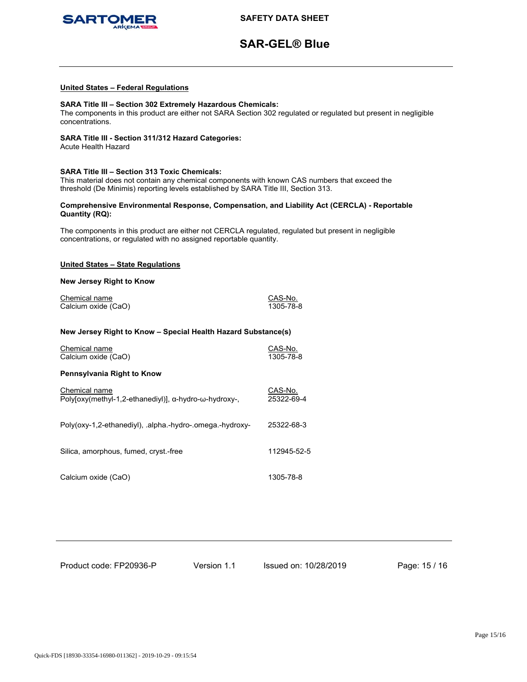

# **SAR-GEL® Blue**

#### **United States – Federal Regulations**

# **SARA Title III – Section 302 Extremely Hazardous Chemicals:**

The components in this product are either not SARA Section 302 regulated or regulated but present in negligible concentrations.

## **SARA Title III - Section 311/312 Hazard Categories:**

Acute Health Hazard

#### **SARA Title III – Section 313 Toxic Chemicals:**

This material does not contain any chemical components with known CAS numbers that exceed the threshold (De Minimis) reporting levels established by SARA Title III, Section 313.

### **Comprehensive Environmental Response, Compensation, and Liability Act (CERCLA) - Reportable Quantity (RQ):**

The components in this product are either not CERCLA regulated, regulated but present in negligible concentrations, or regulated with no assigned reportable quantity.

# **United States – State Regulations**

#### **New Jersey Right to Know**

| Chemical name       | CAS-No.   |
|---------------------|-----------|
| Calcium oxide (CaO) | 1305-78-8 |

### **New Jersey Right to Know – Special Health Hazard Substance(s)**

| Chemical name<br>Calcium oxide (CaO)                                   | CAS-No.<br>1305-78-8  |
|------------------------------------------------------------------------|-----------------------|
| Pennsylvania Right to Know                                             |                       |
| Chemical name<br>Poly[oxy(methyl-1,2-ethanediyl)], α-hydro-ω-hydroxy-, | CAS-No.<br>25322-69-4 |
| Poly(oxy-1,2-ethanediyl), .alpha.-hydro-.omega.-hydroxy-               | 25322-68-3            |
| Silica, amorphous, fumed, cryst.-free                                  | 112945-52-5           |
| Calcium oxide (CaO)                                                    | 1305-78-8             |

Product code: FP20936-P

Version 1.1 Issued on: 10/28/2019 Page: 15 / 16